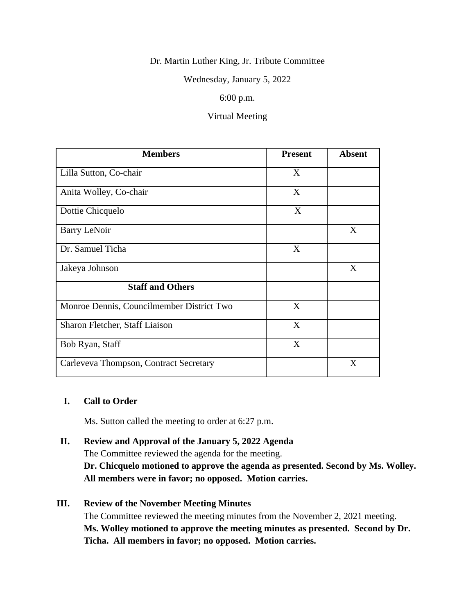## Dr. Martin Luther King, Jr. Tribute Committee

Wednesday, January 5, 2022

## 6:00 p.m.

## Virtual Meeting

| <b>Members</b>                            | <b>Present</b> | <b>Absent</b> |
|-------------------------------------------|----------------|---------------|
| Lilla Sutton, Co-chair                    | X              |               |
| Anita Wolley, Co-chair                    | X              |               |
| Dottie Chicquelo                          | X              |               |
| <b>Barry LeNoir</b>                       |                | X             |
| Dr. Samuel Ticha                          | X              |               |
| Jakeya Johnson                            |                | X             |
| <b>Staff and Others</b>                   |                |               |
| Monroe Dennis, Councilmember District Two | X              |               |
| Sharon Fletcher, Staff Liaison            | X              |               |
| Bob Ryan, Staff                           | X              |               |
| Carleveva Thompson, Contract Secretary    |                | X             |

### **I. Call to Order**

Ms. Sutton called the meeting to order at 6:27 p.m.

**II. Review and Approval of the January 5, 2022 Agenda** The Committee reviewed the agenda for the meeting. **Dr. Chicquelo motioned to approve the agenda as presented. Second by Ms. Wolley. All members were in favor; no opposed. Motion carries.**

# **III. Review of the November Meeting Minutes**

The Committee reviewed the meeting minutes from the November 2, 2021 meeting. **Ms. Wolley motioned to approve the meeting minutes as presented. Second by Dr. Ticha. All members in favor; no opposed. Motion carries.**